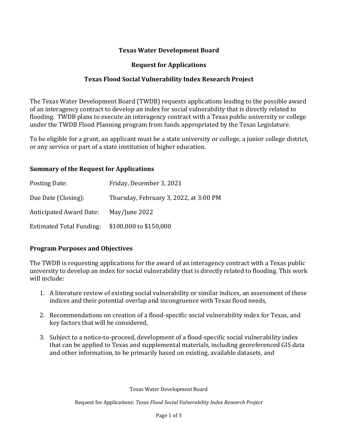## **Texas Water Development Board**

#### **Request for Applications**

#### **Texas Flood Social Vulnerability Index Research Project**

The Texas Water Development Board (TWDB) requests applications leading to the possible award of an interagency contract to develop an index for social vulnerability that is directly related to flooding. TWDB plans to execute an interagency contract with a Texas public university or college under the TWDB Flood Planning program from funds appropriated by the Texas Legislature.

To be eligible for a grant, an applicant must be a state university or college, a junior college district, or any service or part of a state institution of higher education.

#### **Summary of the Request for Applications**

| Posting Date:                   | Friday, December 3, 2021               |
|---------------------------------|----------------------------------------|
| Due Date (Closing):             | Thursday, February 3, 2022, at 3:00 PM |
| <b>Anticipated Award Date:</b>  | May/June 2022                          |
| <b>Estimated Total Funding:</b> | \$100,000 to \$150,000                 |

## **Program Purposes and Objectives**

The TWDB is requesting applications for the award of an interagency contract with a Texas public university to develop an index for social vulnerability that is directly related to flooding. This work will include:

- 1. A literature review of existing social vulnerability or similar indices, an assessment of these indices and their potential overlap and incongruence with Texas flood needs,
- 2. Recommendations on creation of a flood-specific social vulnerability index for Texas, and key factors that will be considered,
- 3. Subject to a notice-to-proceed, development of a flood-specific social vulnerability index that can be applied to Texas and supplemental materials, including georeferenced GIS data and other information, to be primarily based on existing, available datasets, and

Texas Water Development Board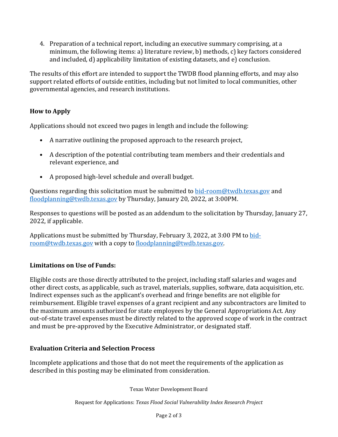4. Preparation of a technical report, including an executive summary comprising, at a minimum, the following items: a) literature review, b) methods, c) key factors considered and included, d) applicability limitation of existing datasets, and e) conclusion.

The results of this effort are intended to support the TWDB flood planning efforts, and may also support related efforts of outside entities, including but not limited to local communities, other governmental agencies, and research institutions.

# **How to Apply**

Applications should not exceed two pages in length and include the following:

- A narrative outlining the proposed approach to the research project,
- A description of the potential contributing team members and their credentials and relevant experience, and
- A proposed high-level schedule and overall budget.

Questions regarding this solicitation must be submitted to **[bid-room@twdb.texas.gov](mailto:bid-room@twdb.texas.gov)** and [floodplanning@twdb.texas.gov](mailto:floodplanning@twdb.texas.gov) by Thursday, January 20, 2022, at 3:00PM.

Responses to questions will be posted as an addendum to the solicitation by Thursday, January 27, 2022, if applicable.

Applications must be submitted by Thursday, February 3, 2022, at 3:00 PM t[o bid](mailto:bid-room@twdb.texas.gov)[room@twdb.texas.gov](mailto:bid-room@twdb.texas.gov) with a copy to [floodplanning@twdb.texas.gov.](mailto:floodplanning@twdb.texas.gov)

# **Limitations on Use of Funds:**

Eligible costs are those directly attributed to the project, including staff salaries and wages and other direct costs, as applicable, such as travel, materials, supplies, software, data acquisition, etc. Indirect expenses such as the applicant's overhead and fringe benefits are not eligible for reimbursement. Eligible travel expenses of a grant recipient and any subcontractors are limited to the maximum amounts authorized for state employees by the General Appropriations Act. Any out-of-state travel expenses must be directly related to the approved scope of work in the contract and must be pre-approved by the Executive Administrator, or designated staff.

## **Evaluation Criteria and Selection Process**

Incomplete applications and those that do not meet the requirements of the application as described in this posting may be eliminated from consideration.

Texas Water Development Board

Request for Applications: *Texas Flood Social Vulnerability Index Research Project*